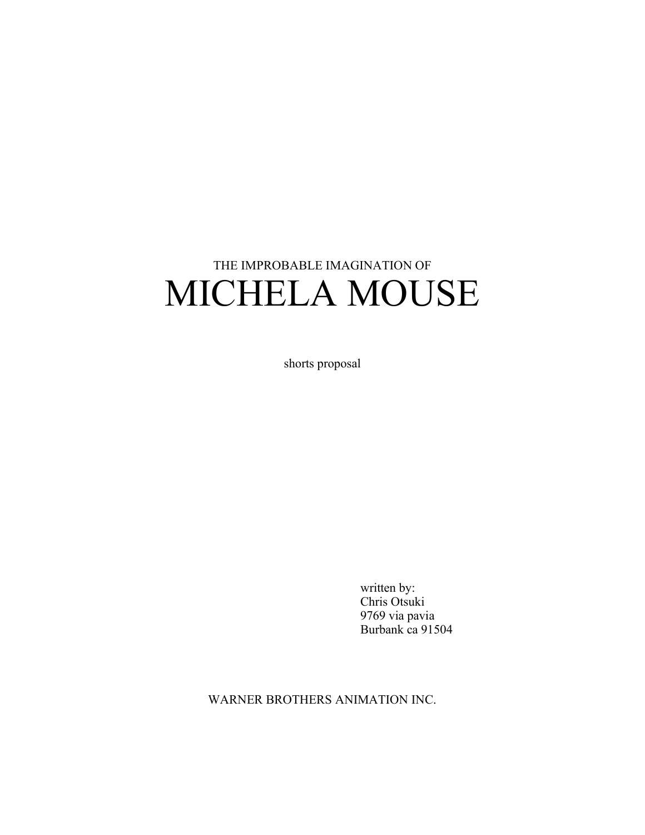# THE IMPROBABLE IMAGINATION OF MICHELA MOUSE

shorts proposal

written by: Chris Otsuki 9769 via pavia Burbank ca 91504

WARNER BROTHERS ANIMATION INC.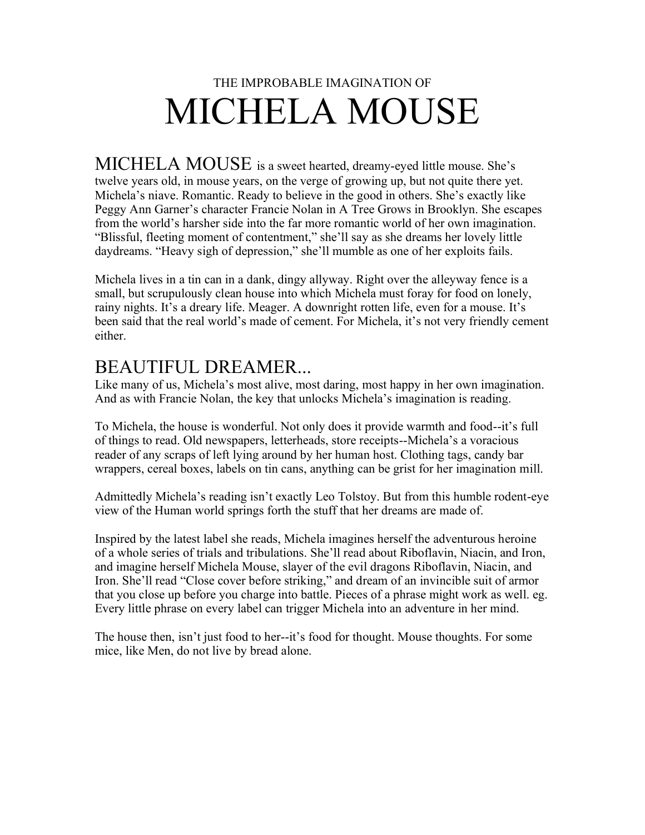## THE IMPROBABLE IMAGINATION OF MICHELA MOUSE

MICHELA MOUSE is a sweet hearted, dreamy-eyed little mouse. She's twelve years old, in mouse years, on the verge of growing up, but not quite there yet. Michela's niave. Romantic. Ready to believe in the good in others. She's exactly like Peggy Ann Garner's character Francie Nolan in A Tree Grows in Brooklyn. She escapes from the world's harsher side into the far more romantic world of her own imagination. "Blissful, fleeting moment of contentment," she'll say as she dreams her lovely little daydreams. "Heavy sigh of depression," she'll mumble as one of her exploits fails.

Michela lives in a tin can in a dank, dingy allyway. Right over the alleyway fence is a small, but scrupulously clean house into which Michela must foray for food on lonely, rainy nights. It's a dreary life. Meager. A downright rotten life, even for a mouse. It's been said that the real world's made of cement. For Michela, it's not very friendly cement either.

#### BEAUTIFUL DREAMER...

Like many of us, Michela's most alive, most daring, most happy in her own imagination. And as with Francie Nolan, the key that unlocks Michela's imagination is reading.

To Michela, the house is wonderful. Not only does it provide warmth and food--it's full of things to read. Old newspapers, letterheads, store receipts--Michela's a voracious reader of any scraps of left lying around by her human host. Clothing tags, candy bar wrappers, cereal boxes, labels on tin cans, anything can be grist for her imagination mill.

Admittedly Michela's reading isn't exactly Leo Tolstoy. But from this humble rodent-eye view of the Human world springs forth the stuff that her dreams are made of.

Inspired by the latest label she reads, Michela imagines herself the adventurous heroine of a whole series of trials and tribulations. She'll read about Riboflavin, Niacin, and Iron, and imagine herself Michela Mouse, slayer of the evil dragons Riboflavin, Niacin, and Iron. She'll read "Close cover before striking," and dream of an invincible suit of armor that you close up before you charge into battle. Pieces of a phrase might work as well. eg. Every little phrase on every label can trigger Michela into an adventure in her mind.

The house then, isn't just food to her--it's food for thought. Mouse thoughts. For some mice, like Men, do not live by bread alone.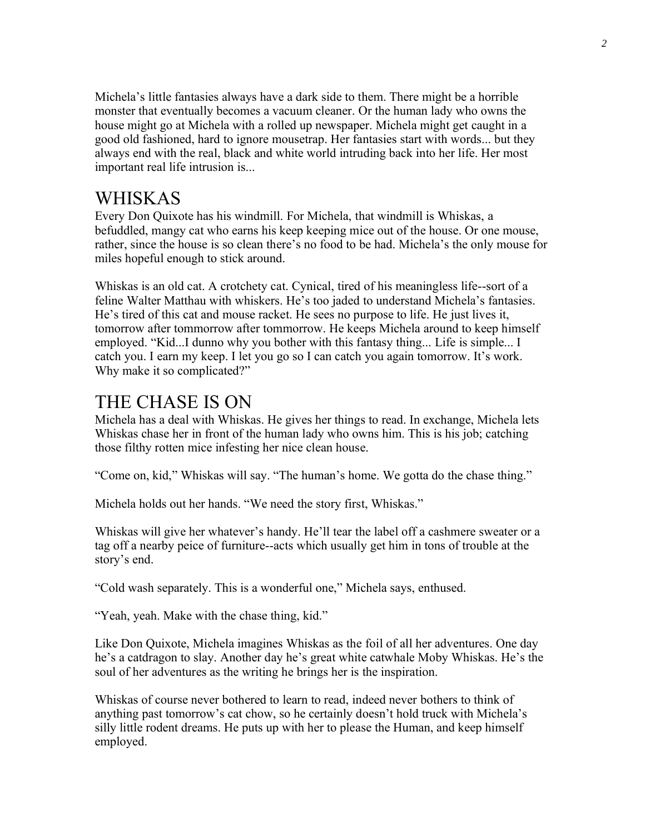Michela's little fantasies always have a dark side to them. There might be a horrible monster that eventually becomes a vacuum cleaner. Or the human lady who owns the house might go at Michela with a rolled up newspaper. Michela might get caught in a good old fashioned, hard to ignore mousetrap. Her fantasies start with words... but they always end with the real, black and white world intruding back into her life. Her most important real life intrusion is...

#### WHISKAS

Every Don Quixote has his windmill. For Michela, that windmill is Whiskas, a befuddled, mangy cat who earns his keep keeping mice out of the house. Or one mouse, rather, since the house is so clean there's no food to be had. Michela's the only mouse for miles hopeful enough to stick around.

Whiskas is an old cat. A crotchety cat. Cynical, tired of his meaningless life--sort of a feline Walter Matthau with whiskers. He's too jaded to understand Michela's fantasies. He's tired of this cat and mouse racket. He sees no purpose to life. He just lives it, tomorrow after tommorrow after tommorrow. He keeps Michela around to keep himself employed. "Kid...I dunno why you bother with this fantasy thing... Life is simple... I catch you. I earn my keep. I let you go so I can catch you again tomorrow. It's work. Why make it so complicated?"

#### THE CHASE IS ON

Michela has a deal with Whiskas. He gives her things to read. In exchange, Michela lets Whiskas chase her in front of the human lady who owns him. This is his job; catching those filthy rotten mice infesting her nice clean house.

"Come on, kid," Whiskas will say. "The human's home. We gotta do the chase thing."

Michela holds out her hands. "We need the story first, Whiskas."

Whiskas will give her whatever's handy. He'll tear the label off a cashmere sweater or a tag off a nearby peice of furniture--acts which usually get him in tons of trouble at the story's end.

"Cold wash separately. This is a wonderful one," Michela says, enthused.

"Yeah, yeah. Make with the chase thing, kid."

Like Don Quixote, Michela imagines Whiskas as the foil of all her adventures. One day he's a catdragon to slay. Another day he's great white catwhale Moby Whiskas. He's the soul of her adventures as the writing he brings her is the inspiration.

Whiskas of course never bothered to learn to read, indeed never bothers to think of anything past tomorrow's cat chow, so he certainly doesn't hold truck with Michela's silly little rodent dreams. He puts up with her to please the Human, and keep himself employed.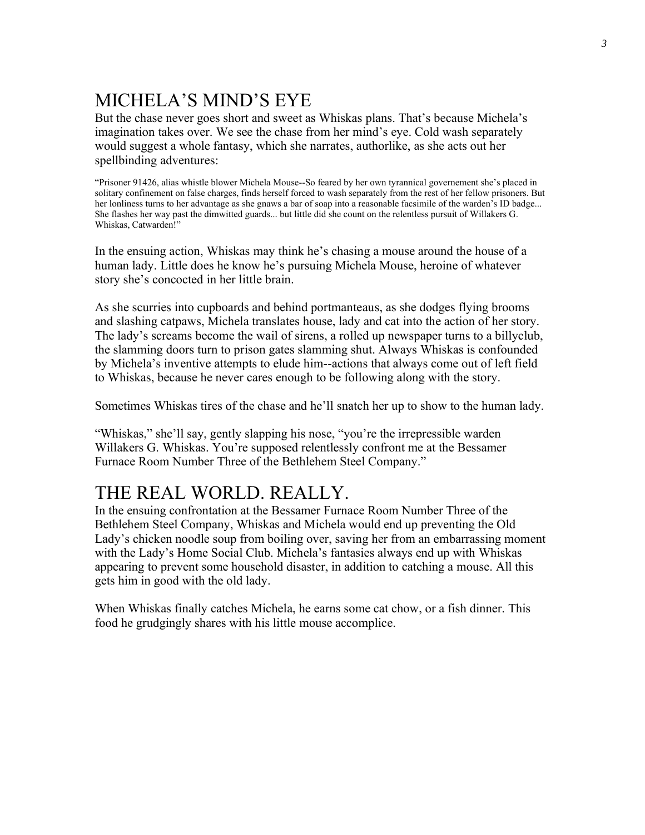## MICHELA'S MIND'S EYE

But the chase never goes short and sweet as Whiskas plans. That's because Michela's imagination takes over. We see the chase from her mind's eye. Cold wash separately would suggest a whole fantasy, which she narrates, authorlike, as she acts out her spellbinding adventures:

"Prisoner 91426, alias whistle blower Michela Mouse--So feared by her own tyrannical governement she's placed in solitary confinement on false charges, finds herself forced to wash separately from the rest of her fellow prisoners. But her lonliness turns to her advantage as she gnaws a bar of soap into a reasonable facsimile of the warden's ID badge... She flashes her way past the dimwitted guards... but little did she count on the relentless pursuit of Willakers G. Whiskas, Catwarden!"

In the ensuing action, Whiskas may think he's chasing a mouse around the house of a human lady. Little does he know he's pursuing Michela Mouse, heroine of whatever story she's concocted in her little brain.

As she scurries into cupboards and behind portmanteaus, as she dodges flying brooms and slashing catpaws, Michela translates house, lady and cat into the action of her story. The lady's screams become the wail of sirens, a rolled up newspaper turns to a billyclub, the slamming doors turn to prison gates slamming shut. Always Whiskas is confounded by Michela's inventive attempts to elude him--actions that always come out of left field to Whiskas, because he never cares enough to be following along with the story.

Sometimes Whiskas tires of the chase and he'll snatch her up to show to the human lady.

"Whiskas," she'll say, gently slapping his nose, "you're the irrepressible warden Willakers G. Whiskas. You're supposed relentlessly confront me at the Bessamer Furnace Room Number Three of the Bethlehem Steel Company."

#### THE REAL WORLD. REALLY.

In the ensuing confrontation at the Bessamer Furnace Room Number Three of the Bethlehem Steel Company, Whiskas and Michela would end up preventing the Old Lady's chicken noodle soup from boiling over, saving her from an embarrassing moment with the Lady's Home Social Club. Michela's fantasies always end up with Whiskas appearing to prevent some household disaster, in addition to catching a mouse. All this gets him in good with the old lady.

When Whiskas finally catches Michela, he earns some cat chow, or a fish dinner. This food he grudgingly shares with his little mouse accomplice.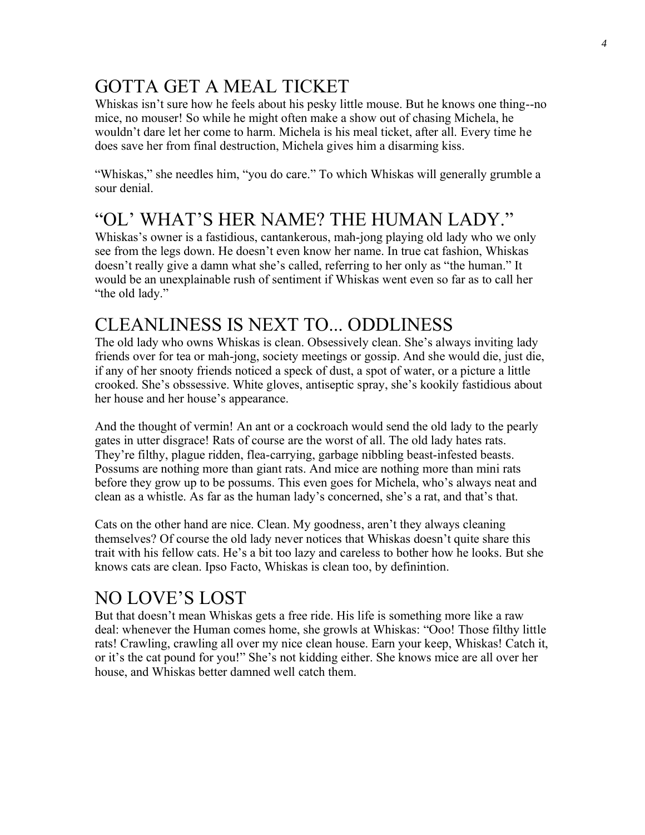#### GOTTA GET A MEAL TICKET

Whiskas isn't sure how he feels about his pesky little mouse. But he knows one thing--no mice, no mouser! So while he might often make a show out of chasing Michela, he wouldn't dare let her come to harm. Michela is his meal ticket, after all. Every time he does save her from final destruction, Michela gives him a disarming kiss.

"Whiskas," she needles him, "you do care." To which Whiskas will generally grumble a sour denial.

#### "OL' WHAT'S HER NAME? THE HUMAN LADY."

Whiskas's owner is a fastidious, cantankerous, mah-jong playing old lady who we only see from the legs down. He doesn't even know her name. In true cat fashion, Whiskas doesn't really give a damn what she's called, referring to her only as "the human." It would be an unexplainable rush of sentiment if Whiskas went even so far as to call her "the old lady."

#### CLEANLINESS IS NEXT TO... ODDLINESS

The old lady who owns Whiskas is clean. Obsessively clean. She's always inviting lady friends over for tea or mah-jong, society meetings or gossip. And she would die, just die, if any of her snooty friends noticed a speck of dust, a spot of water, or a picture a little crooked. She's obssessive. White gloves, antiseptic spray, she's kookily fastidious about her house and her house's appearance.

And the thought of vermin! An ant or a cockroach would send the old lady to the pearly gates in utter disgrace! Rats of course are the worst of all. The old lady hates rats. They're filthy, plague ridden, flea-carrying, garbage nibbling beast-infested beasts. Possums are nothing more than giant rats. And mice are nothing more than mini rats before they grow up to be possums. This even goes for Michela, who's always neat and clean as a whistle. As far as the human lady's concerned, she's a rat, and that's that.

Cats on the other hand are nice. Clean. My goodness, aren't they always cleaning themselves? Of course the old lady never notices that Whiskas doesn't quite share this trait with his fellow cats. He's a bit too lazy and careless to bother how he looks. But she knows cats are clean. Ipso Facto, Whiskas is clean too, by definintion.

#### NO LOVE'S LOST

But that doesn't mean Whiskas gets a free ride. His life is something more like a raw deal: whenever the Human comes home, she growls at Whiskas: "Ooo! Those filthy little rats! Crawling, crawling all over my nice clean house. Earn your keep, Whiskas! Catch it, or it's the cat pound for you!" She's not kidding either. She knows mice are all over her house, and Whiskas better damned well catch them.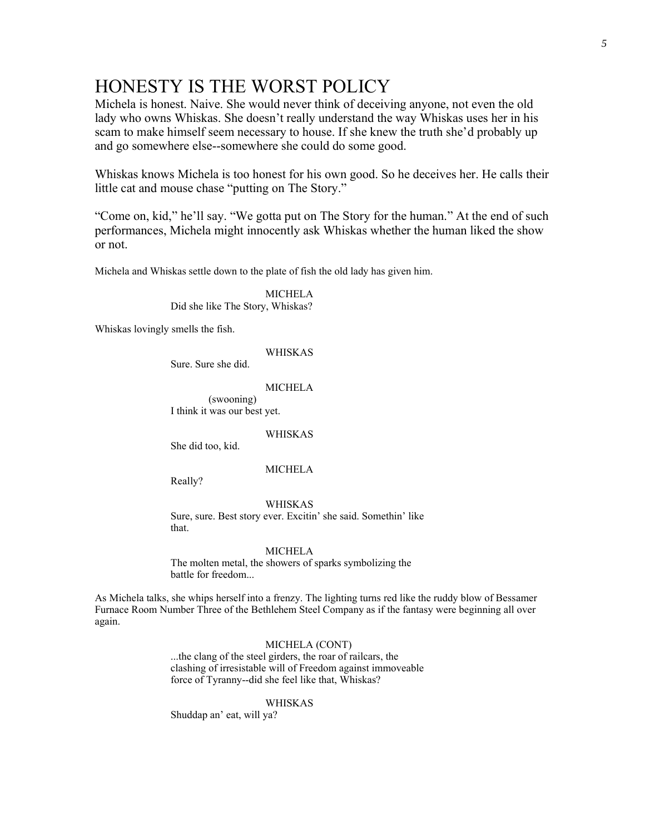#### HONESTY IS THE WORST POLICY

Michela is honest. Naive. She would never think of deceiving anyone, not even the old lady who owns Whiskas. She doesn't really understand the way Whiskas uses her in his scam to make himself seem necessary to house. If she knew the truth she'd probably up and go somewhere else--somewhere she could do some good.

Whiskas knows Michela is too honest for his own good. So he deceives her. He calls their little cat and mouse chase "putting on The Story."

"Come on, kid," he'll say. "We gotta put on The Story for the human." At the end of such performances, Michela might innocently ask Whiskas whether the human liked the show or not.

Michela and Whiskas settle down to the plate of fish the old lady has given him.

MICHELA Did she like The Story, Whiskas?

Whiskas lovingly smells the fish.

WHISKAS

Sure. Sure she did.

MICHELA

(swooning) I think it was our best yet.

WHISKAS

She did too, kid.

MICHELA

Really?

WHISKAS

Sure, sure. Best story ever. Excitin' she said. Somethin' like that.

#### MICHELA

The molten metal, the showers of sparks symbolizing the battle for freedom...

As Michela talks, she whips herself into a frenzy. The lighting turns red like the ruddy blow of Bessamer Furnace Room Number Three of the Bethlehem Steel Company as if the fantasy were beginning all over again.

#### MICHELA (CONT)

...the clang of the steel girders, the roar of railcars, the clashing of irresistable will of Freedom against immoveable force of Tyranny--did she feel like that, Whiskas?

WHISKAS

Shuddap an' eat, will ya?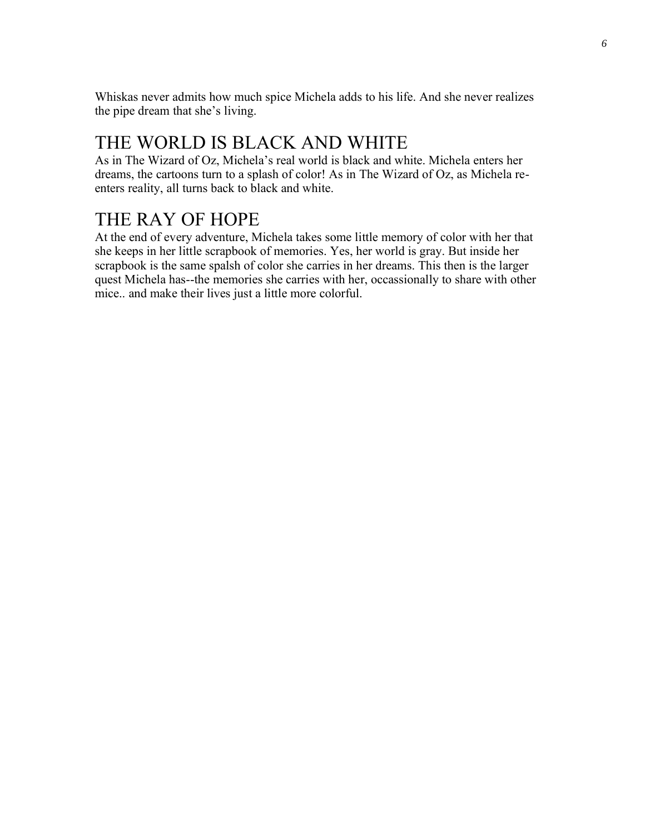Whiskas never admits how much spice Michela adds to his life. And she never realizes the pipe dream that she's living.

#### THE WORLD IS BLACK AND WHITE

As in The Wizard of Oz, Michela's real world is black and white. Michela enters her dreams, the cartoons turn to a splash of color! As in The Wizard of Oz, as Michela reenters reality, all turns back to black and white.

#### THE RAY OF HOPE

At the end of every adventure, Michela takes some little memory of color with her that she keeps in her little scrapbook of memories. Yes, her world is gray. But inside her scrapbook is the same spalsh of color she carries in her dreams. This then is the larger quest Michela has--the memories she carries with her, occassionally to share with other mice.. and make their lives just a little more colorful.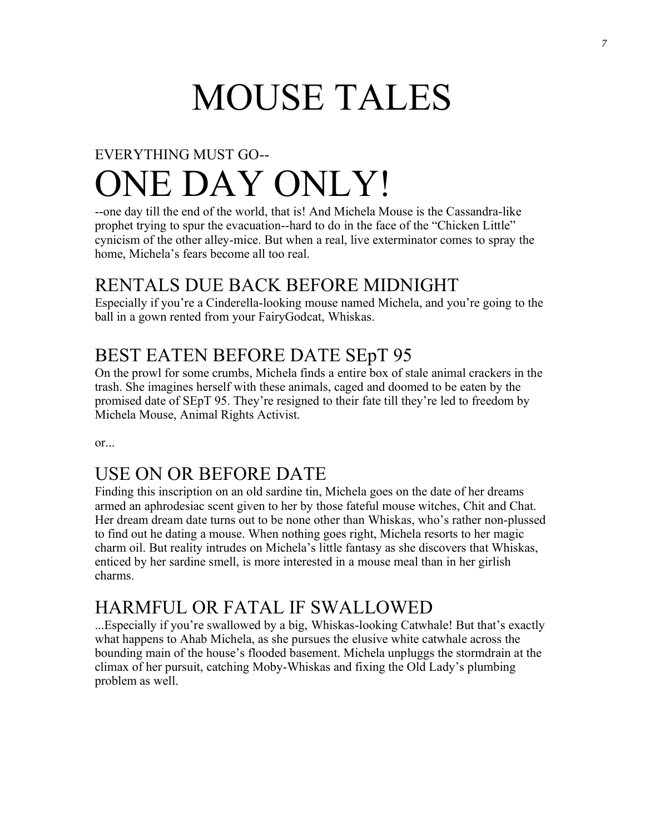# MOUSE TALES

# EVERYTHING MUST GO-- ONE DAY ONLY!

--one day till the end of the world, that is! And Michela Mouse is the Cassandra-like prophet trying to spur the evacuation--hard to do in the face of the "Chicken Little" cynicism of the other alley-mice. But when a real, live exterminator comes to spray the home, Michela's fears become all too real.

#### RENTALS DUE BACK BEFORE MIDNIGHT

Especially if you're a Cinderella-looking mouse named Michela, and you're going to the ball in a gown rented from your FairyGodcat, Whiskas.

#### BEST EATEN BEFORE DATE SEpT 95

On the prowl for some crumbs, Michela finds a entire box of stale animal crackers in the trash. She imagines herself with these animals, caged and doomed to be eaten by the promised date of SEpT 95. They're resigned to their fate till they're led to freedom by Michela Mouse, Animal Rights Activist.

or...

#### USE ON OR BEFORE DATE

Finding this inscription on an old sardine tin, Michela goes on the date of her dreams armed an aphrodesiac scent given to her by those fateful mouse witches, Chit and Chat. Her dream dream date turns out to be none other than Whiskas, who's rather non-plussed to find out he dating a mouse. When nothing goes right, Michela resorts to her magic charm oil. But reality intrudes on Michela's little fantasy as she discovers that Whiskas, enticed by her sardine smell, is more interested in a mouse meal than in her girlish charms.

#### HARMFUL OR FATAL IF SWALLOWED

...Especially if you're swallowed by a big, Whiskas-looking Catwhale! But that's exactly what happens to Ahab Michela, as she pursues the elusive white catwhale across the bounding main of the house's flooded basement. Michela unpluggs the stormdrain at the climax of her pursuit, catching Moby-Whiskas and fixing the Old Lady's plumbing problem as well.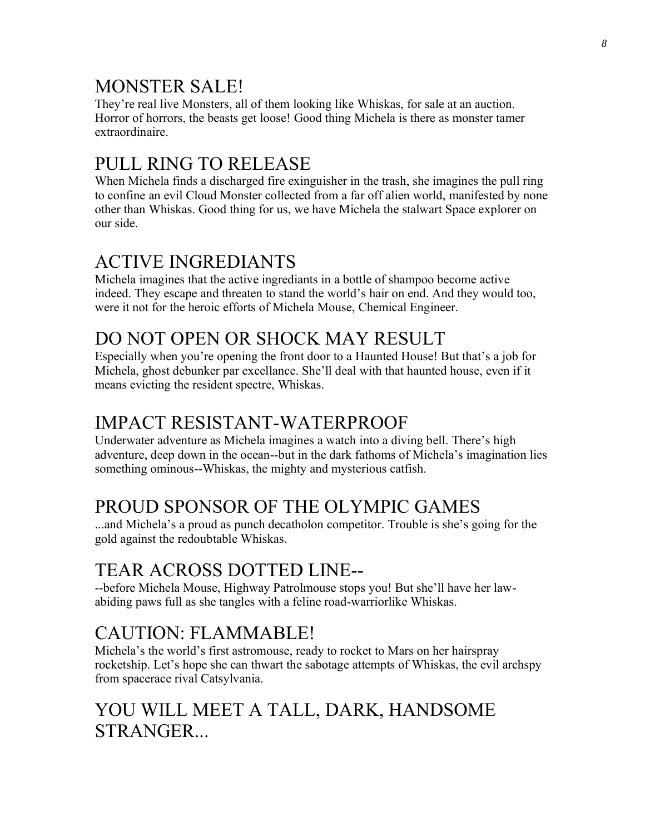#### MONSTER SALE!

They're real live Monsters, all of them looking like Whiskas, for sale at an auction. Horror of horrors, the beasts get loose! Good thing Michela is there as monster tamer extraordinaire.

#### PULL RING TO RELEASE

When Michela finds a discharged fire exinguisher in the trash, she imagines the pull ring to confine an evil Cloud Monster collected from a far off alien world, manifested by none other than Whiskas. Good thing for us, we have Michela the stalwart Space explorer on our side.

#### ACTIVE INGREDIANTS

Michela imagines that the active ingrediants in a bottle of shampoo become active indeed. They escape and threaten to stand the world's hair on end. And they would too, were it not for the heroic efforts of Michela Mouse, Chemical Engineer.

#### DO NOT OPEN OR SHOCK MAY RESULT

Especially when you're opening the front door to a Haunted House! But that's a job for Michela, ghost debunker par excellance. She'll deal with that haunted house, even if it means evicting the resident spectre, Whiskas.

#### IMPACT RESISTANT-WATERPROOF

Underwater adventure as Michela imagines a watch into a diving bell. There's high adventure, deep down in the ocean--but in the dark fathoms of Michela's imagination lies something ominous--Whiskas, the mighty and mysterious catfish.

#### PROUD SPONSOR OF THE OLYMPIC GAMES

...and Michela's a proud as punch decatholon competitor. Trouble is she's going for the gold against the redoubtable Whiskas.

## TEAR ACROSS DOTTED LINE--

--before Michela Mouse, Highway Patrolmouse stops you! But she'll have her lawabiding paws full as she tangles with a feline road-warriorlike Whiskas.

#### CAUTION: FLAMMABLE!

Michela's the world's first astromouse, ready to rocket to Mars on her hairspray rocketship. Let's hope she can thwart the sabotage attempts of Whiskas, the evil archspy from spacerace rival Catsylvania.

#### YOU WILL MEET A TALL, DARK, HANDSOME STRANGER...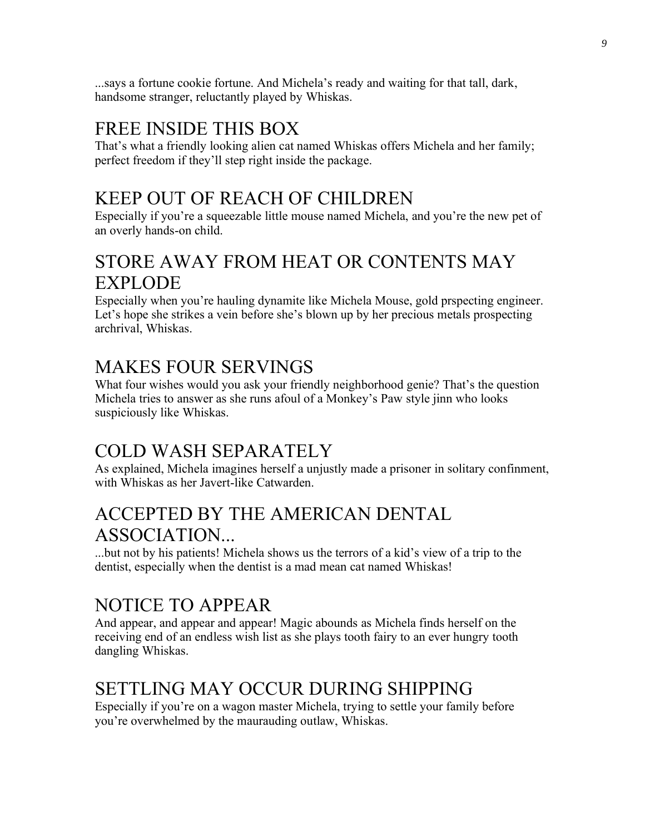...says a fortune cookie fortune. And Michela's ready and waiting for that tall, dark, handsome stranger, reluctantly played by Whiskas.

#### FREE INSIDE THIS BOX

That's what a friendly looking alien cat named Whiskas offers Michela and her family; perfect freedom if they'll step right inside the package.

#### KEEP OUT OF REACH OF CHILDREN

Especially if you're a squeezable little mouse named Michela, and you're the new pet of an overly hands-on child.

#### STORE AWAY FROM HEAT OR CONTENTS MAY EXPLODE

Especially when you're hauling dynamite like Michela Mouse, gold prspecting engineer. Let's hope she strikes a vein before she's blown up by her precious metals prospecting archrival, Whiskas.

#### MAKES FOUR SERVINGS

What four wishes would you ask your friendly neighborhood genie? That's the question Michela tries to answer as she runs afoul of a Monkey's Paw style jinn who looks suspiciously like Whiskas.

#### COLD WASH SEPARATELY

As explained, Michela imagines herself a unjustly made a prisoner in solitary confinment, with Whiskas as her Javert-like Catwarden.

#### ACCEPTED BY THE AMERICAN DENTAL ASSOCIATION...

...but not by his patients! Michela shows us the terrors of a kid's view of a trip to the dentist, especially when the dentist is a mad mean cat named Whiskas!

#### NOTICE TO APPEAR

And appear, and appear and appear! Magic abounds as Michela finds herself on the receiving end of an endless wish list as she plays tooth fairy to an ever hungry tooth dangling Whiskas.

#### SETTLING MAY OCCUR DURING SHIPPING

Especially if you're on a wagon master Michela, trying to settle your family before you're overwhelmed by the maurauding outlaw, Whiskas.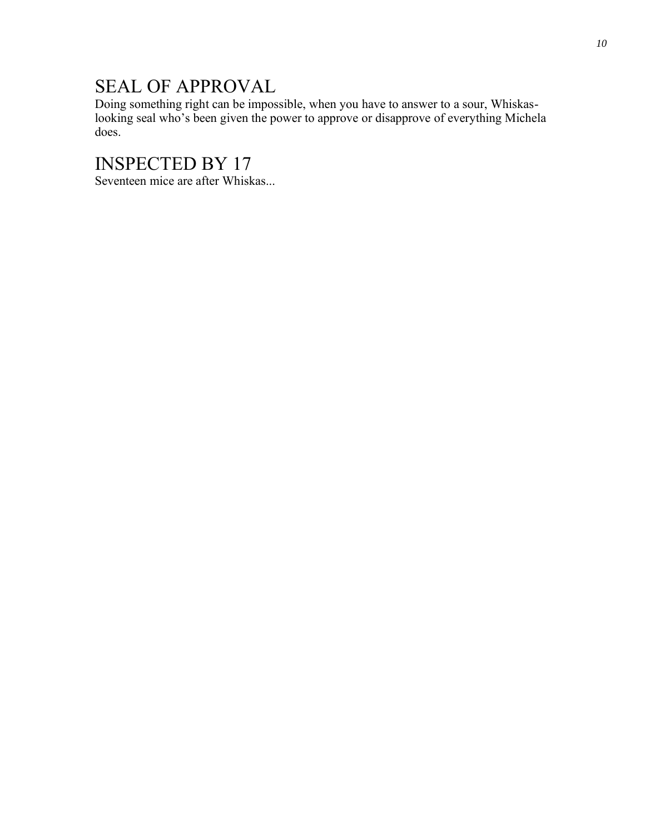#### SEAL OF APPROVAL

Doing something right can be impossible, when you have to answer to a sour, Whiskaslooking seal who's been given the power to approve or disapprove of everything Michela does.

#### INSPECTED BY 17

Seventeen mice are after Whiskas...